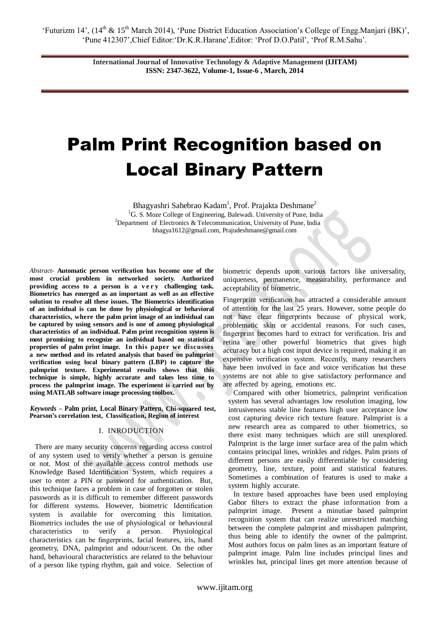# Palm Print Recognition based on Local Binary Pattern

Bhagyashri Sahebrao Kadam<sup>1</sup>, Prof. Prajakta Deshmane<sup>2</sup> <sup>1</sup>G. S. Moze College of Engineering, Balewadi. University of Pune, India <sup>2</sup>Department of Electronics & Telecommunication, University of Pune, India bhagya1612@gmail.com, Prajudeshmane@gmail.com

*Abstract-* **Automatic person verification has become one of the most crucial problem in networked society. Authorized providing access to a person is a v e r y challenging task. Biometrics has emerged as an important as well as an effective solution to resolve all these issues. The Biometrics identification of an individual is can be done by physiological or behavioral characteristics, where the palm print image of an individual can be captured by using sensors and is one of among physiological characteristics of an individual. Palm print recognition system is most promising to recognize an individual based on statistical properties of palm print image. In this paper we discusses a new method and its related analysis that based on palmprint verification using local binary pattern (LBP) to capture the palmprint texture. Experimental results shows that this technique is simple, highly accurate and takes less time to process the palmprint image. The experiment is carried out by using MATLAB software image processing toolbox.**

*Keywords –* **Palm print, Local Binary Pattern, Chi-squared test, Pearson's correlation test, Classification, Region of interest**

# I. INRODUCTION

There are many security concerns regarding access control of any system used to verify whether a person is genuine or not. Most of the available access control methods use Knowledge Based Identification System, which requires a user to enter a PIN or password for authentication. But, this technique faces a problem in case of forgotten or stolen passwords as it is difficult to remember different passwords for different systems. However, biometric Identification system is available for overcoming this limitation. Biometrics includes the use of physiological or behavioural characteristics to verify a person. Physiological characteristics can be fingerprints, facial features, iris, hand geometry, DNA, palmprint and odour/scent. On the other hand, behavioural characteristics are related to the behaviour of a person like typing rhythm, gait and voice. Selection of biometric depends upon various factors like universality, uniqueness, permanence, measurability, performance and acceptability of biometric.

Fingerprint verification has attracted a considerable amount of attention for the last 25 years. However, some people do not have clear fingerprints because of physical work, problematic skin or accidental reasons. For such cases, fingerprint becomes hard to extract for verification. Iris and retina are other powerful biometrics that gives high accuracy but a high cost input device is required, making it an expensive verification system. Recently, many researchers have been involved in face and voice verification but these systems are not able to give satisfactory performance and are affected by ageing, emotions etc.

Compared with other biometrics, palmprint verification system has several advantages low resolution imaging, low intrusiveness stable line features high user acceptance low cost capturing device rich texture feature. Palmprint is a new research area as compared to other biometrics, so there exist many techniques which are still unexplored. Palmprint is the large inner surface area of the palm which contains principal lines, wrinkles and ridges. Palm prints of different persons are easily differentiable by considering geometry, line, texture, point and statistical features. Sometimes a combination of features is used to make a system highly accurate.

In texture based approaches have been used employing Gabor filters to extract the phase information from a palmprint image. Present a minutiae based palmprint recognition system that can realize unrestricted matching between the complete palmprint and misshapen palmprint, thus being able to identify the owner of the palmprint. Most authors focus on palm lines as an important feature of palmprint image. Palm line includes principal lines and wrinkles but, principal lines get more attention because of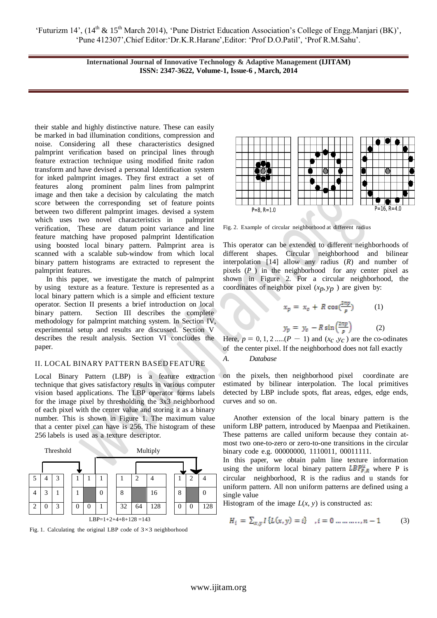their stable and highly distinctive nature. These can easily be marked in bad illumination conditions, compression and noise. Considering all these characteristics designed palmprint verification based on principal lines through feature extraction technique using modified finite radon transform and have devised a personal Identification system for inked palmprint images. They first extract a set of features along prominent palm lines from palmprint image and then take a decision by calculating the match score between the corresponding set of feature points between two different palmprint images. devised a system which uses two novel characteristics in palmprint verification, These are datum point variance and line feature matching have proposed palmprint Identification using boosted local binary pattern. Palmprint area is scanned with a scalable sub-window from which local binary pattern histograms are extracted to represent the palmprint features.

 In this paper, we investigate the match of palmprint by using texture as a feature. Texture is represented as a local binary pattern which is a simple and efficient texture operator. Section II presents a brief introduction on local binary pattern. Section III describes the complete methodology for palmprint matching system. In Section IV, experimental setup and results are discussed. Section V describes the result analysis. Section VI concludes the paper.

# II. LOCAL BINARY PATTERN BASED FEATURE

Local Binary Pattern (LBP) is a feature extraction technique that gives satisfactory results in various computer vision based applications. The LBP operator forms labels for the image pixel by thresholding the 3x3 neighborhood of each pixel with the center value and storing it as a binary number. This is shown in Figure 1. The maximum value that a center pixel can have is 256. The histogram of these 256 labels is used as a texture descriptor.







Fig. 2. Example of circular neighborhood at different radius

This operator can be extended to different neighborhoods of different shapes. Circular neighborhood and bilinear interpolation [14] allow any radius (*R*) and number of pixels (*P* ) in the neighborhood for any center pixel as shown in Figure 2. For a circular neighborhood, the coordinates of neighbor pixel  $(x_p, y_p)$  are given by:

$$
x_p = x_c + R \cos(\frac{2\pi p}{p})
$$
 (1)  

$$
y_p = y_c - R \sin(\frac{2\pi p}{p})
$$
 (2)

Here,  $p = 0, 1, 2, \ldots$  ( $P - 1$ ) and ( $x_c$ ,  $y_c$ ) are the co-odinates of the center pixel. If the neighborhood does not fall exactly *A. Database*

on the pixels, then neighborhood pixel coordinate are estimated by bilinear interpolation. The local primitives detected by LBP include spots, flat areas, edges, edge ends, curves and so on.

Another extension of the local binary pattern is the uniform LBP pattern, introduced by Maenpaa and Pietikainen. These patterns are called uniform because they contain atmost two one-to-zero or zero-to-one transitions in the circular binary code e.g. 00000000, 1110011, 00011111.

In this paper, we obtain palm line texture information using the uniform local binary pattern  $LBP_{P,R}^{\mu}$  where P is circular neighborhood, R is the radius and u stands for uniform pattern. All non uniform patterns are defined using a single value

Histogram of the image  $L(x, y)$  is constructed as:

$$
H_i = \sum_{x,y} I\{L(x,y) = i\} \quad, i = 0 \dots \dots \dots, n-1 \tag{3}
$$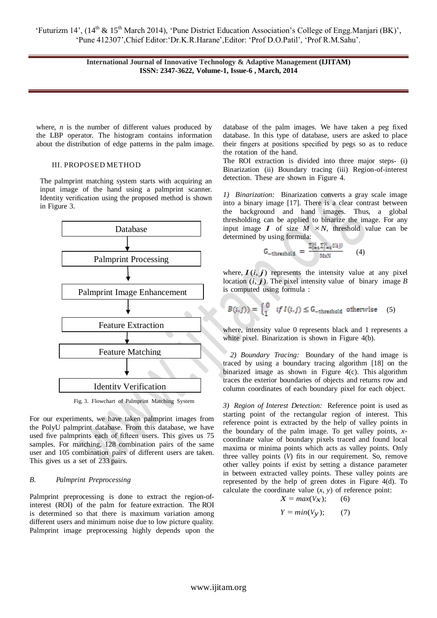where, *n* is the number of different values produced by the LBP operator. The histogram contains information about the distribution of edge patterns in the palm image.

## III. PROPOSED METHOD

The palmprint matching system starts with acquiring an input image of the hand using a palmprint scanner. Identity verification using the proposed method is shown in Figure 3.



Fig. 3. Flowchart of Palmprint Matching System

For our experiments, we have taken palmprint images from the PolyU palmprint database. From this database, we have used five palmprints each of fifteen users. This gives us 75 samples. For matching, 128 combination pairs of the same user and 105 combination pairs of different users are taken. This gives us a set of 233 pairs.

## *B. Palmprint Preprocessing*

Palmprint preprocessing is done to extract the region-ofinterest (ROI) of the palm for feature extraction. The ROI is determined so that there is maximum variation among different users and minimum noise due to low picture quality. Palmprint image preprocessing highly depends upon the database of the palm images. We have taken a peg fixed database. In this type of database, users are asked to place their fingers at positions specified by pegs so as to reduce the rotation of the hand.

The ROI extraction is divided into three major steps- (i) Binarization (ii) Boundary tracing (iii) Region-of-interest detection. These are shown in Figure 4.

*1) Binarization:* Binarization converts a gray scale image into a binary image [17]. There is a clear contrast between the background and hand images. Thus, a global thresholding can be applied to binarize the image. For any input image *I* of size  $M \times N$ , threshold value can be determined by using formula:

$$
-\text{threshold} = \frac{\sum_{i=1}^{N} \sum_{j=1}^{N} I(i,j)}{\text{MxN}} \qquad (4)
$$

G

where,  $I(i, j)$  represents the intensity value at any pixel location  $(i, j)$ . The pixel intensity value of binary image *B* is computed using formula :

$$
B(i,j)) = \begin{cases} 0 & \text{if } I(i,j) \leq G_{-\text{threshold}} \text{ otherwise} \end{cases} (5)
$$

where, intensity value 0 represents black and 1 represents a white pixel. Binarization is shown in Figure 4(b).

*2) Boundary Tracing:* Boundary of the hand image is traced by using a boundary tracing algorithm [18] on the binarized image as shown in Figure 4(c). This algorithm traces the exterior boundaries of objects and returns row and column coordinates of each boundary pixel for each object.

*3) Region of Interest Detection:* Reference point is used as starting point of the rectangular region of interest. This reference point is extracted by the help of valley points in the boundary of the palm image. To get valley points, *x*coordinate value of boundary pixels traced and found local maxima or minima points which acts as valley points. Only three valley points (*V*) fits in our requirement. So, remove other valley points if exist by setting a distance parameter in between extracted valley points. These valley points are represented by the help of green dotes in Figure 4(d). To calculate the coordinate value  $(x, y)$  of reference point:

$$
X = \max(V_X); \qquad (6)
$$

$$
Y = min(Vy); (7)
$$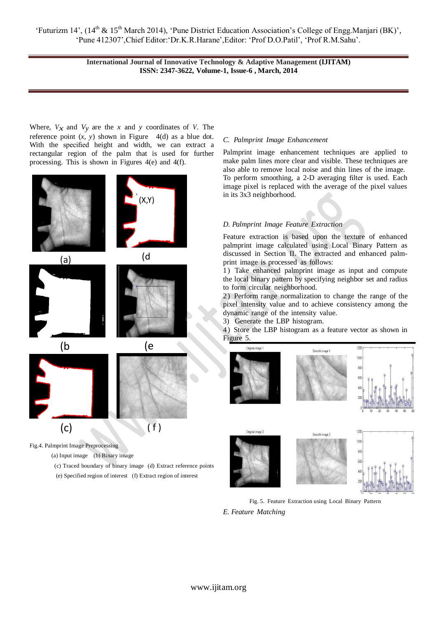'Futurizm 14', (14<sup>th</sup> & 15<sup>th</sup> March 2014), 'Pune District Education Association's College of Engg.Manjari (BK)', 'Pune 412307',Chief Editor:'Dr.K.R.Harane',Editor: 'Prof D.O.Patil', 'Prof R.M.Sahu'.

> **International Journal of Innovative Technology & Adaptive Management (IJITAM) ISSN: 2347-3622, Volume-1, Issue-6 , March, 2014**

Where,  $V_x$  and  $V_y$  are the *x* and *y* coordinates of *V*. The reference point  $(x, y)$  shown in Figure  $4(d)$  as a blue dot. With the specified height and width, we can extract a rectangular region of the palm that is used for further processing. This is shown in Figures 4(e) and 4(f).



Fig.4. Palmprint Image Preprocessing

(a) Input image (b) Binary image

- (c) Traced boundary of binary image (d) Extract reference points
- (e) Specified region of interest (f) Extract region of interest

## *C. Palmprint Image Enhancement*

Palmprint image enhancement techniques are applied to make palm lines more clear and visible. These techniques are also able to remove local noise and thin lines of the image. To perform smoothing, a 2-D averaging filter is used. Each image pixel is replaced with the average of the pixel values in its 3x3 neighborhood.

## *D. Palmprint Image Feature Extraction*

Feature extraction is based upon the texture of enhanced palmprint image calculated using Local Binary Pattern as discussed in Section II. The extracted and enhanced palmprint image is processed as follows:

1) Take enhanced palmprint image as input and compute the local binary pattern by specifying neighbor set and radius to form circular neighborhood.

2) Perform range normalization to change the range of the pixel intensity value and to achieve consistency among the dynamic range of the intensity value.

3) Generate the LBP histogram.

4) Store the LBP histogram as a feature vector as shown in Figure 5.













Fig. 5. Feature Extraction using Local Binary Pattern

*E. Feature Matching*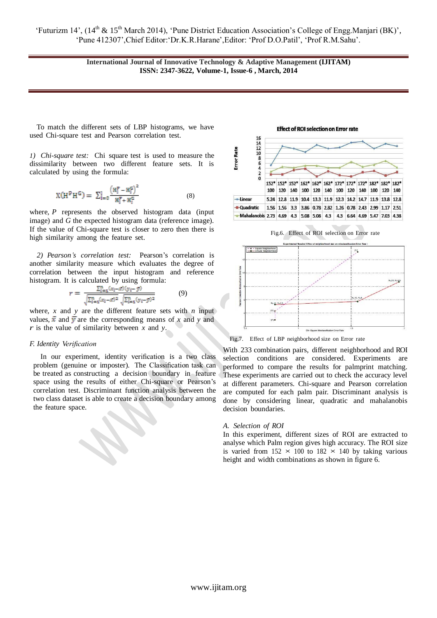To match the different sets of LBP histograms, we have used Chi-square test and Pearson correlation test.

*1) Chi-square test:* Chi square test is used to measure the dissimilarity between two different feature sets. It is calculated by using the formula:

$$
X(H^{p}H^{G}) = \sum_{i=0}^{l} \frac{(H_{i}^{p} - H_{i}^{G})^{2}}{H_{i}^{p} + H_{i}^{G}}
$$
(8)

where, *P* represents the observed histogram data (input image) and *G* the expected histogram data (reference image). If the value of Chi-square test is closer to zero then there is high similarity among the feature set.

*2) Pearson's correlation test:* Pearson's correlation is another similarity measure which evaluates the degree of correlation between the input histogram and reference histogram. It is calculated by using formula:

$$
r = \frac{\sum_{i=1}^{n} (x_i - \bar{x})(y_i - \bar{y})}{\sqrt{\sum_{i=1}^{n} (x_i - \bar{x})^2} \sqrt{\sum_{i=1}^{n} (y_i - \bar{y})^2}}
$$
(9)

where,  $x$  and  $y$  are the different feature sets with  $n$  input values,  $\bar{x}$  and  $\bar{y}$  are the corresponding means of *x* and *y* and *r* is the value of similarity between *x* and *y*.

# *F. Identity Verification*

In our experiment, identity verification is a two class problem (genuine or imposter). The Classification task can be treated as constructing a decision boundary in feature space using the results of either Chi-square or Pearson's correlation test. Discriminant function analysis between the two class dataset is able to create a decision boundary among the feature space.

#### **Effect of ROI selection on Error rate**







Fig.7. Effect of LBP neighborhood size on Error rate

With 233 combination pairs, different neighborhood and ROI selection conditions are considered. Experiments are performed to compare the results for palmprint matching. These experiments are carried out to check the accuracy level at different parameters. Chi-square and Pearson correlation are computed for each palm pair. Discriminant analysis is done by considering linear, quadratic and mahalanobis decision boundaries.

#### *A. Selection of ROI*

In this experiment, different sizes of ROI are extracted to analyse which Palm region gives high accuracy. The ROI size is varied from  $152 \times 100$  to  $182 \times 140$  by taking various height and width combinations as shown in figure 6.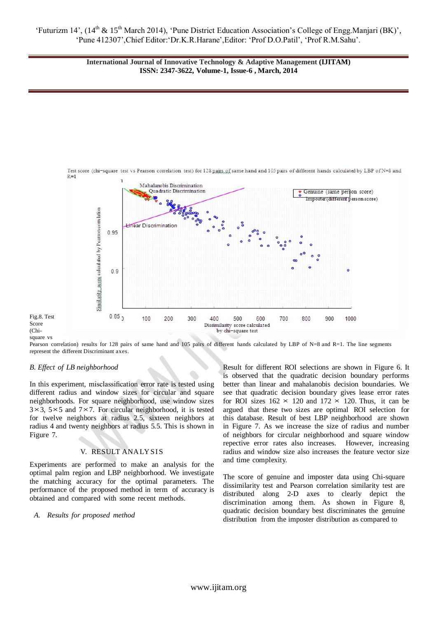

Pearson correlation) results for 128 pairs of same hand and 105 pairs of different hands calculated by LBP of N=8 and R=1. The line segments represent the different Discriminant axes.

## *B. Effect of LB neighborhood*

Score (Chi-

In this experiment, misclassification error rate is tested using different radius and window sizes for circular and square neighborhoods. For square neighborhood, use window sizes 3*×*3, 5*×*5 and 7*×*7. For circular neighborhood, it is tested for twelve neighbors at radius 2*.*5, sixteen neighbors at radius 4 and twenty neighbors at radius 5*.*5. This is shown in Figure 7.

## V. RESULT ANALYSIS

Experiments are performed to make an analysis for the optimal palm region and LBP neighborhood. We investigate the matching accuracy for the optimal parameters. The performance of the proposed method in term of accuracy is obtained and compared with some recent methods.

## *A. Results for proposed method*

Result for different ROI selections are shown in Figure 6. It is observed that the quadratic decision boundary performs better than linear and mahalanobis decision boundaries. We see that quadratic decision boundary gives lease error rates for ROI sizes  $162 \times 120$  and  $172 \times 120$ . Thus, it can be argued that these two sizes are optimal ROI selection for this database. Result of best LBP neighborhood are shown in Figure 7. As we increase the size of radius and number of neighbors for circular neighborhood and square window repective error rates also increases. However, increasing radius and window size also increases the feature vector size and time complexity.

The score of genuine and imposter data using Chi-square dissimilarity test and Pearson correlation similarity test are distributed along 2-D axes to clearly depict the discrimination among them. As shown in Figure 8, quadratic decision boundary best discriminates the genuine distribution from the imposter distribution as compared to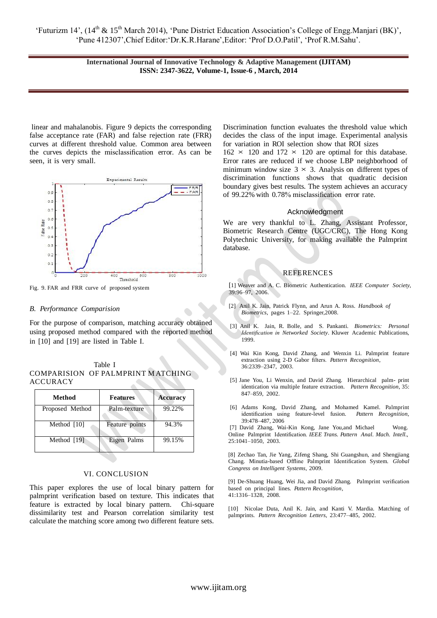linear and mahalanobis. Figure 9 depicts the corresponding false acceptance rate (FAR) and false rejection rate (FRR) curves at different threshold value. Common area between the curves depicts the misclassification error. As can be seen, it is very small.



Fig. 9. FAR and FRR curve of proposed system

## *B. Performance Comparision*

For the purpose of comparison, matching accuracy obtained using proposed method compared with the reported method in [10] and [19] are listed in Table I.

 $\triangle$ 

|                 | Table I                           |  |
|-----------------|-----------------------------------|--|
|                 | COMPARISION OF PALMPRINT MATCHING |  |
| <b>ACCURACY</b> |                                   |  |

| Method          | <b>Features</b> | <b>Accuracy</b> |
|-----------------|-----------------|-----------------|
| Proposed Method | Palm-texture    | 99.22%          |
| Method [10]     | Feature points  | 94.3%           |
| Method [19]     | Eigen Palms     | 99.15%          |

## VI. CONCLUSION

This paper explores the use of local binary pattern for palmprint verification based on texture. This indicates that feature is extracted by local binary pattern. Chi-square dissimilarity test and Pearson correlation similarity test calculate the matching score among two different feature sets. Discrimination function evaluates the threshold value which decides the class of the input image. Experimental analysis for variation in ROI selection show that ROI sizes

 $162 \times 120$  and  $172 \times 120$  are optimal for this database. Error rates are reduced if we choose LBP neighborhood of minimum window size  $3 \times 3$ . Analysis on different types of discrimination functions shows that quadratic decision boundary gives best results. The system achieves an accuracy of 99*.*22% with 0*.*78% misclassification error rate.

## Acknowledgment

We are very thankful to L. Zhang, Assistant Professor, Biometric Research Centre (UGC/CRC), The Hong Kong Polytechnic University, for making available the Palmprint database.

## **REFERENCES**

[1] Weaver and A. C. Biometric Authentication. *IEEE Computer Society*, 39:96–97, 2006.

- [2] Anil K. Jain, Patrick Flynn, and Arun A. Ross. *Handbook of Biometrics*, pages 1–22. Springer,2008.
- [3] Anil K. Jain, R. Bolle, and S. Pankanti. *Biometrics: Personal Identification in Networked Society*. Kluwer Academic Publications, 1999.
- [4] Wai Kin Kong, David Zhang, and Wenxin Li. Palmprint feature extraction using 2-D Gabor filters. *Pattern Recognition*, 36:2339–2347, 2003.
- [5] Jane You, Li Wenxin, and David Zhang. Hierarchical palm- print identication via multiple feature extraction. *Pattern Recognition*, 35: 847–859, 2002.
- [6] Adams Kong, David Zhang, and Mohamed Kamel. Palmprint identification using feature-level fusion. *Pattern Recognition*, 39:478–487, 2006

[7] David Zhang, Wai-Kin Kong, Jane You,and Michael Wong. Online Palmprint Identification. *IEEE Trans. Pattern Anal. Mach. Intell.*, 25:1041–1050, 2003.

[8] Zechao Tan, Jie Yang, Zifeng Shang, Shi Guangshun, and Shengjiang Chang. Minutia-based Offline Palmprint Identification System. *Global Congress on Intelligent Systems*, 2009.

[9] De-Shuang Huang, Wei Jia, and David Zhang. Palmprint verification based on principal lines. *Pattern Recognition*, 41:1316–1328, 2008.

[10] Nicolae Duta, Anil K. Jain, and Kanti V. Mardia. Matching of palmprints. *Pattern Recognition Letters*, 23:477–485, 2002.